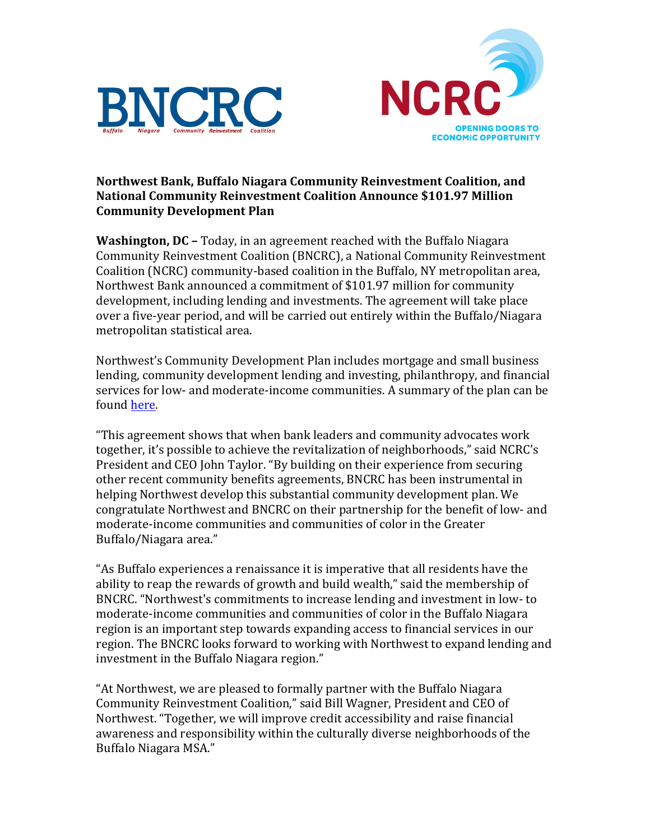



## **Northwest Bank, Buffalo Niagara Community Reinvestment Coalition, and National Community Reinvestment Coalition Announce \$101.97 Million Community Development Plan**

**Washington, DC** – Today, in an agreement reached with the Buffalo Niagara Community Reinvestment Coalition (BNCRC), a National Community Reinvestment Coalition (NCRC) community-based coalition in the Buffalo, NY metropolitan area, Northwest Bank announced a commitment of \$101.97 million for community development, including lending and investments. The agreement will take place over a five-year period, and will be carried out entirely within the Buffalo/Niagara metropolitan statistical area.

Northwest's Community Development Plan includes mortgage and small business lending, community development lending and investing, philanthropy, and financial services for low- and moderate-income communities. A summary of the plan can be found [here.](http://wnylc.com/wp-content/uploads/2017/03/Northwest-Summary1.pdf)

"This agreement shows that when bank leaders and community advocates work together, it's possible to achieve the revitalization of neighborhoods," said NCRC's President and CEO John Taylor. "By building on their experience from securing other recent community benefits agreements, BNCRC has been instrumental in helping Northwest develop this substantial community development plan. We congratulate Northwest and BNCRC on their partnership for the benefit of low- and moderate-income communities and communities of color in the Greater Buffalo/Niagara area."

"As Buffalo experiences a renaissance it is imperative that all residents have the ability to reap the rewards of growth and build wealth," said the membership of BNCRC. "Northwest's commitments to increase lending and investment in low- to moderate-income communities and communities of color in the Buffalo Niagara region is an important step towards expanding access to financial services in our region. The BNCRC looks forward to working with Northwest to expand lending and investment in the Buffalo Niagara region."

"At Northwest, we are pleased to formally partner with the Buffalo Niagara Community Reinvestment Coalition," said Bill Wagner, President and CEO of Northwest. "Together, we will improve credit accessibility and raise financial awareness and responsibility within the culturally diverse neighborhoods of the Buffalo Niagara MSA."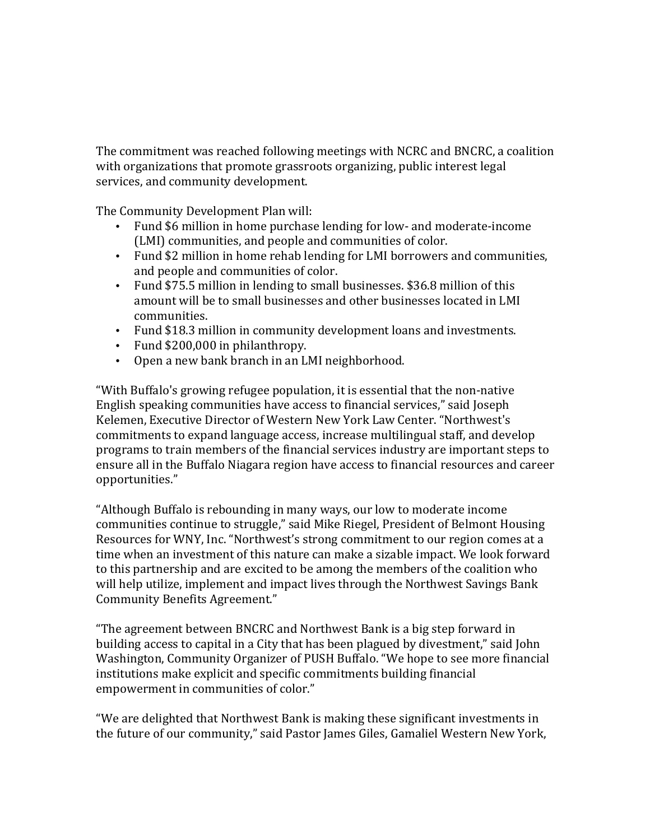The commitment was reached following meetings with NCRC and BNCRC, a coalition with organizations that promote grassroots organizing, public interest legal services, and community development.

The Community Development Plan will:

- Fund \$6 million in home purchase lending for low- and moderate-income (LMI) communities, and people and communities of color.
- Fund \$2 million in home rehab lending for LMI borrowers and communities, and people and communities of color.
- Fund \$75.5 million in lending to small businesses. \$36.8 million of this amount will be to small businesses and other businesses located in LMI communities.
- Fund \$18.3 million in community development loans and investments.
- Fund \$200,000 in philanthropy.
- Open a new bank branch in an LMI neighborhood.

"With Buffalo's growing refugee population, it is essential that the non-native English speaking communities have access to financial services," said Joseph Kelemen, Executive Director of Western New York Law Center. "Northwest's commitments to expand language access, increase multilingual staff, and develop programs to train members of the financial services industry are important steps to ensure all in the Buffalo Niagara region have access to financial resources and career opportunities."

"Although Buffalo is rebounding in many ways, our low to moderate income communities continue to struggle," said Mike Riegel, President of Belmont Housing Resources for WNY, Inc. "Northwest's strong commitment to our region comes at a time when an investment of this nature can make a sizable impact. We look forward to this partnership and are excited to be among the members of the coalition who will help utilize, implement and impact lives through the Northwest Savings Bank Community Benefits Agreement."

"The agreement between BNCRC and Northwest Bank is a big step forward in building access to capital in a City that has been plagued by divestment," said John Washington, Community Organizer of PUSH Buffalo. "We hope to see more financial institutions make explicit and specific commitments building financial empowerment in communities of color."

"We are delighted that Northwest Bank is making these significant investments in the future of our community," said Pastor James Giles, Gamaliel Western New York,